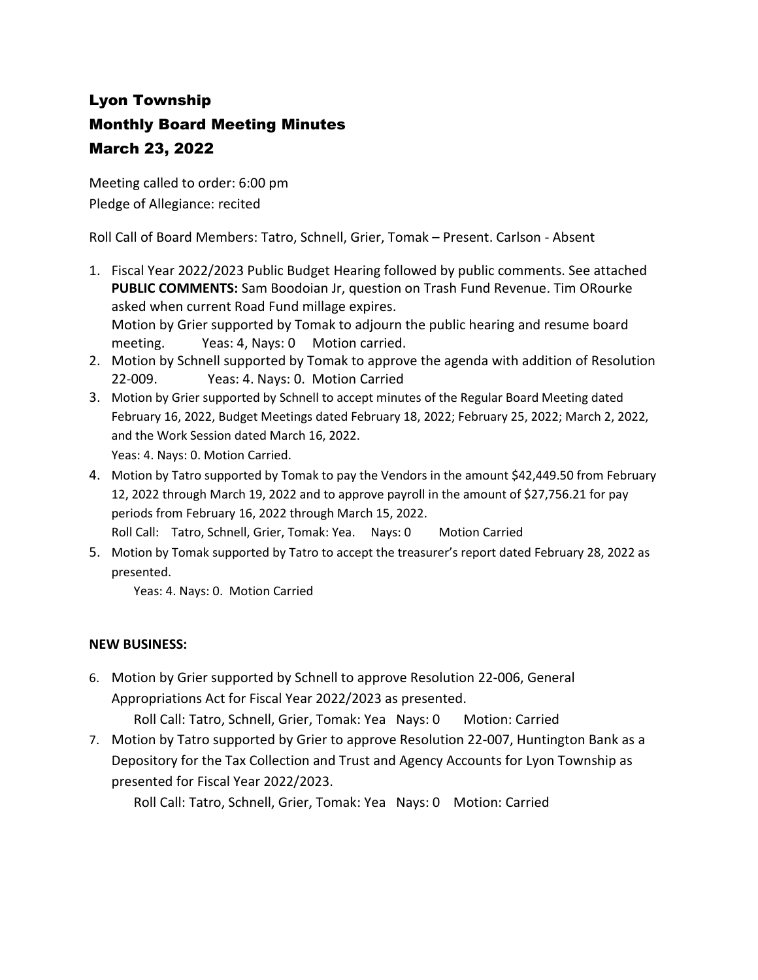## Lyon Township Monthly Board Meeting Minutes March 23, 2022

Meeting called to order: 6:00 pm Pledge of Allegiance: recited

Roll Call of Board Members: Tatro, Schnell, Grier, Tomak – Present. Carlson - Absent

- 1. Fiscal Year 2022/2023 Public Budget Hearing followed by public comments. See attached **PUBLIC COMMENTS:** Sam Boodoian Jr, question on Trash Fund Revenue. Tim ORourke asked when current Road Fund millage expires. Motion by Grier supported by Tomak to adjourn the public hearing and resume board meeting. Yeas: 4, Nays: 0 Motion carried.
- 2. Motion by Schnell supported by Tomak to approve the agenda with addition of Resolution 22-009. Yeas: 4. Nays: 0. Motion Carried
- 3. Motion by Grier supported by Schnell to accept minutes of the Regular Board Meeting dated February 16, 2022, Budget Meetings dated February 18, 2022; February 25, 2022; March 2, 2022, and the Work Session dated March 16, 2022. Yeas: 4. Nays: 0. Motion Carried.
- 4. Motion by Tatro supported by Tomak to pay the Vendors in the amount \$42,449.50 from February 12, 2022 through March 19, 2022 and to approve payroll in the amount of \$27,756.21 for pay periods from February 16, 2022 through March 15, 2022.
	- Roll Call: Tatro, Schnell, Grier, Tomak: Yea. Nays: 0 Motion Carried
- 5. Motion by Tomak supported by Tatro to accept the treasurer's report dated February 28, 2022 as presented.

Yeas: 4. Nays: 0. Motion Carried

## **NEW BUSINESS:**

- 6. Motion by Grier supported by Schnell to approve Resolution 22-006, General Appropriations Act for Fiscal Year 2022/2023 as presented. Roll Call: Tatro, Schnell, Grier, Tomak: Yea Nays: 0 Motion: Carried
- 7. Motion by Tatro supported by Grier to approve Resolution 22-007, Huntington Bank as a Depository for the Tax Collection and Trust and Agency Accounts for Lyon Township as presented for Fiscal Year 2022/2023.

Roll Call: Tatro, Schnell, Grier, Tomak: Yea Nays: 0 Motion: Carried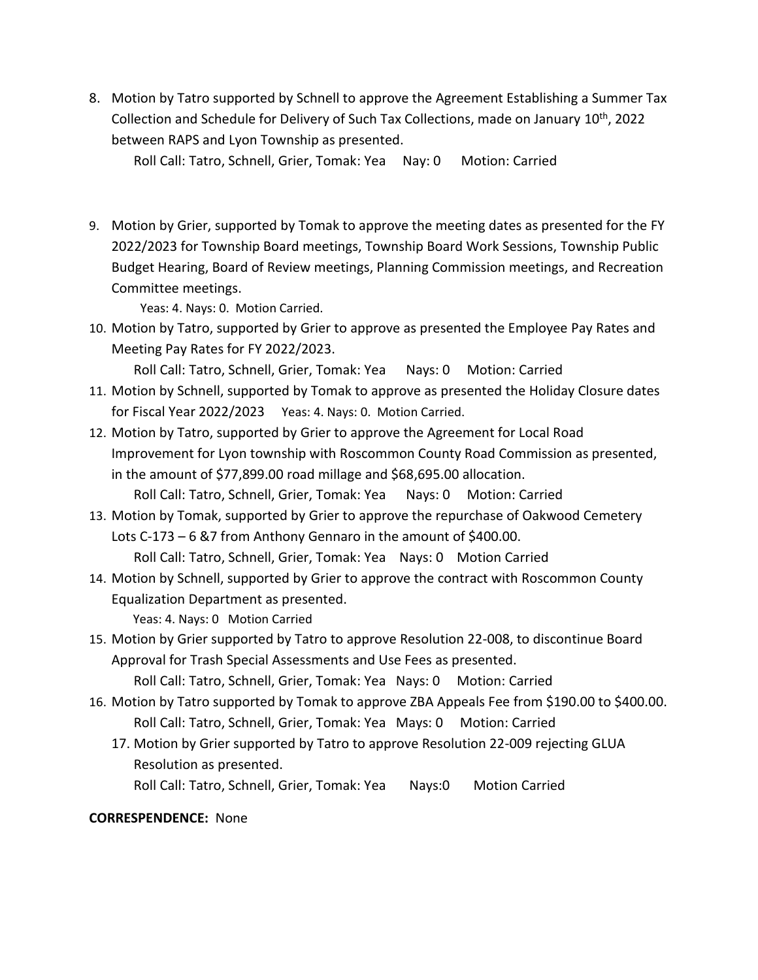8. Motion by Tatro supported by Schnell to approve the Agreement Establishing a Summer Tax Collection and Schedule for Delivery of Such Tax Collections, made on January 10th, 2022 between RAPS and Lyon Township as presented.

Roll Call: Tatro, Schnell, Grier, Tomak: Yea Nay: 0 Motion: Carried

9. Motion by Grier, supported by Tomak to approve the meeting dates as presented for the FY 2022/2023 for Township Board meetings, Township Board Work Sessions, Township Public Budget Hearing, Board of Review meetings, Planning Commission meetings, and Recreation Committee meetings.

Yeas: 4. Nays: 0. Motion Carried.

10. Motion by Tatro, supported by Grier to approve as presented the Employee Pay Rates and Meeting Pay Rates for FY 2022/2023.

Roll Call: Tatro, Schnell, Grier, Tomak: Yea Nays: 0 Motion: Carried

- 11. Motion by Schnell, supported by Tomak to approve as presented the Holiday Closure dates for Fiscal Year 2022/2023 Yeas: 4. Nays: 0. Motion Carried.
- 12. Motion by Tatro, supported by Grier to approve the Agreement for Local Road Improvement for Lyon township with Roscommon County Road Commission as presented, in the amount of \$77,899.00 road millage and \$68,695.00 allocation. Roll Call: Tatro, Schnell, Grier, Tomak: Yea Nays: 0 Motion: Carried
- 13. Motion by Tomak, supported by Grier to approve the repurchase of Oakwood Cemetery Lots C-173 – 6 &7 from Anthony Gennaro in the amount of \$400.00. Roll Call: Tatro, Schnell, Grier, Tomak: Yea Nays: 0 Motion Carried
- 14. Motion by Schnell, supported by Grier to approve the contract with Roscommon County Equalization Department as presented.
- Yeas: 4. Nays: 0 Motion Carried 15. Motion by Grier supported by Tatro to approve Resolution 22-008, to discontinue Board

Approval for Trash Special Assessments and Use Fees as presented.

Roll Call: Tatro, Schnell, Grier, Tomak: Yea Nays: 0 Motion: Carried

- 16. Motion by Tatro supported by Tomak to approve ZBA Appeals Fee from \$190.00 to \$400.00. Roll Call: Tatro, Schnell, Grier, Tomak: Yea Mays: 0 Motion: Carried
	- 17. Motion by Grier supported by Tatro to approve Resolution 22-009 rejecting GLUA Resolution as presented.

Roll Call: Tatro, Schnell, Grier, Tomak: Yea Nays:0 Motion Carried

## **CORRESPENDENCE:** None